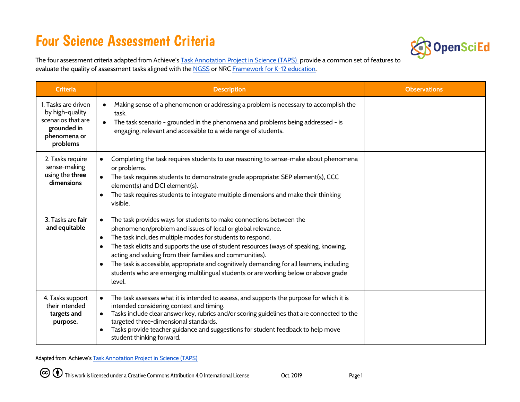## Four Science Assessment Criteria



The four assessment criteria adapted from Achieve's Task [Annotation](https://www.achieve.org/our-initiatives/equip/tools-subject/science/task-annotation-project-science) Project in Science (TAPS) provide a common set of features to evaluate the quality of assessment tasks aligned with the [NGSS](https://www.nextgenscience.org/) or NRC [Framework](https://www.nap.edu/catalog/13165/a-framework-for-k-12-science-education-practices-crosscutting-concepts) for K-12 education.

| <b>Criteria</b>                                                                                         | <b>Description</b>                                                                                                                                                                                                                                                                                                                                                                                                                                                                                                                                               | <b>Observations</b> |
|---------------------------------------------------------------------------------------------------------|------------------------------------------------------------------------------------------------------------------------------------------------------------------------------------------------------------------------------------------------------------------------------------------------------------------------------------------------------------------------------------------------------------------------------------------------------------------------------------------------------------------------------------------------------------------|---------------------|
| 1. Tasks are driven<br>by high-quality<br>scenarios that are<br>grounded in<br>phenomena or<br>problems | Making sense of a phenomenon or addressing a problem is necessary to accomplish the<br>$\bullet$<br>task.<br>The task scenario - grounded in the phenomena and problems being addressed - is<br>$\bullet$<br>engaging, relevant and accessible to a wide range of students.                                                                                                                                                                                                                                                                                      |                     |
| 2. Tasks require<br>sense-making<br>using the three<br>dimensions                                       | Completing the task requires students to use reasoning to sense-make about phenomena<br>or problems.<br>The task requires students to demonstrate grade appropriate: SEP element(s), CCC<br>element(s) and DCI element(s).<br>The task requires students to integrate multiple dimensions and make their thinking<br>visible.                                                                                                                                                                                                                                    |                     |
| 3. Tasks are fair<br>and equitable                                                                      | The task provides ways for students to make connections between the<br>phenomenon/problem and issues of local or global relevance.<br>The task includes multiple modes for students to respond.<br>$\bullet$<br>The task elicits and supports the use of student resources (ways of speaking, knowing,<br>acting and valuing from their families and communities).<br>The task is accessible, appropriate and cognitively demanding for all learners, including<br>students who are emerging multilingual students or are working below or above grade<br>level. |                     |
| 4. Tasks support<br>their intended<br>targets and<br>purpose.                                           | The task assesses what it is intended to assess, and supports the purpose for which it is<br>intended considering context and timing.<br>Tasks include clear answer key, rubrics and/or scoring guidelines that are connected to the<br>targeted three-dimensional standards.<br>Tasks provide teacher guidance and suggestions for student feedback to help move<br>$\bullet$<br>student thinking forward.                                                                                                                                                      |                     |

Adapted from Achieve's Task [Annotation](https://www.achieve.org/our-initiatives/equip/tools-subject/science/task-annotation-project-science) Project in Science (TAPS)